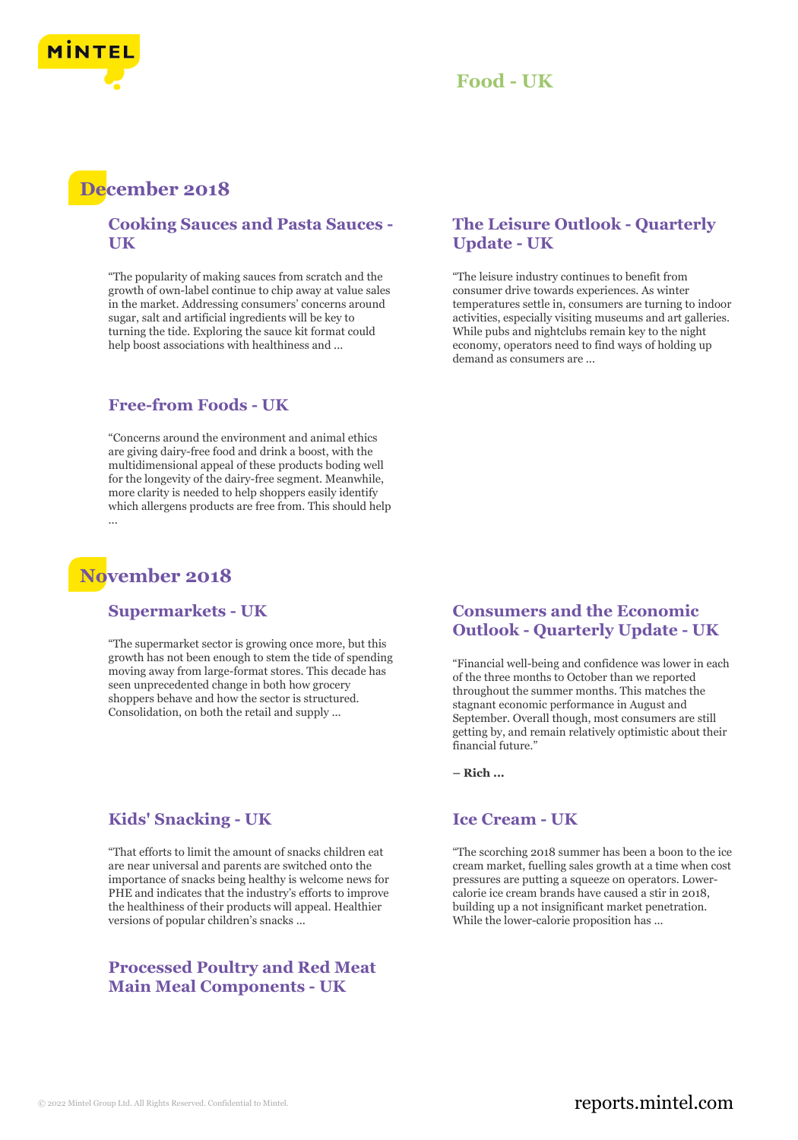

### **Food - UK**

## **December 2018**

#### **Cooking Sauces and Pasta Sauces - UK**

"The popularity of making sauces from scratch and the growth of own-label continue to chip away at value sales in the market. Addressing consumers' concerns around sugar, salt and artificial ingredients will be key to turning the tide. Exploring the sauce kit format could help boost associations with healthiness and ...

#### **Free-from Foods - UK**

"Concerns around the environment and animal ethics are giving dairy-free food and drink a boost, with the multidimensional appeal of these products boding well for the longevity of the dairy-free segment. Meanwhile, more clarity is needed to help shoppers easily identify which allergens products are free from. This should help ...

## **November 2018**

#### **Supermarkets - UK**

"The supermarket sector is growing once more, but this growth has not been enough to stem the tide of spending moving away from large-format stores. This decade has seen unprecedented change in both how grocery shoppers behave and how the sector is structured. Consolidation, on both the retail and supply ...

#### **Kids' Snacking - UK**

"That efforts to limit the amount of snacks children eat are near universal and parents are switched onto the importance of snacks being healthy is welcome news for PHE and indicates that the industry's efforts to improve the healthiness of their products will appeal. Healthier versions of popular children's snacks ...

#### **Processed Poultry and Red Meat Main Meal Components - UK**

#### **The Leisure Outlook - Quarterly Update - UK**

"The leisure industry continues to benefit from consumer drive towards experiences. As winter temperatures settle in, consumers are turning to indoor activities, especially visiting museums and art galleries. While pubs and nightclubs remain key to the night economy, operators need to find ways of holding up demand as consumers are ...

#### **Consumers and the Economic Outlook - Quarterly Update - UK**

"Financial well-being and confidence was lower in each of the three months to October than we reported throughout the summer months. This matches the stagnant economic performance in August and September. Overall though, most consumers are still getting by, and remain relatively optimistic about their financial future.'

**– Rich ...**

#### **Ice Cream - UK**

"The scorching 2018 summer has been a boon to the ice cream market, fuelling sales growth at a time when cost pressures are putting a squeeze on operators. Lowercalorie ice cream brands have caused a stir in 2018, building up a not insignificant market penetration. While the lower-calorie proposition has ...